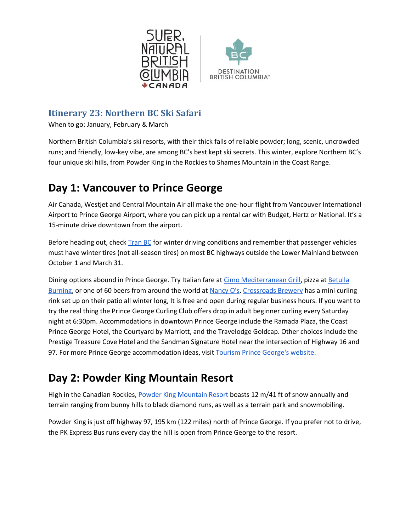



#### **Itinerary 23: Northern BC Ski Safari**

When to go: January, February & March

Northern British Columbia's ski resorts, with their thick falls of reliable powder; long, scenic, uncrowded runs; and friendly, low-key vibe, are among BC's best kept ski secrets. This winter, explore Northern BC's four unique ski hills, from Powder King in the Rockies to Shames Mountain in the Coast Range.

# **Day 1: Vancouver to Prince George**

Air Canada, Westjet and Central Mountain Air all make the one-hour flight from Vancouver International Airport to Prince George Airport, where you can pick up a rental car with Budget, Hertz or National. It's a 15-minute drive downtown from the airport.

Before heading out, check **Tran BC** for winter driving conditions and remember that passenger vehicles must have winter tires (not all-season tires) on most BC highways outside the Lower Mainland between October 1 and March 31.

Dining options abound in Prince George. Try Italian fare at [Cimo Mediterranean Grill,](https://www.cimo.ca/) pizza at [Betulla](https://www.betullaburning.com/)  [Burning,](https://www.betullaburning.com/) or one of 60 beers from around the world at [Nancy O's](https://www.nancyos.ca/). [Crossroads Brewery](http://www.crossroadscraft.com/) has a mini curling rink set up on their patio all winter long, It is free and open during regular business hours. If you want to try the real thing the Prince George Curling Club offers drop in adult beginner curling every Saturday night at 6:30pm. Accommodations in downtown Prince George include the Ramada Plaza, the Coast Prince George Hotel, the Courtyard by Marriott, and the Travelodge Goldcap. Other choices include the Prestige Treasure Cove Hotel and the Sandman Signature Hotel near the intersection of Highway 16 and 97. For more Prince George accommodation ideas, visi[t Tourism Prince George's website.](http://tourismpg.com/accommodations)

# **Day 2: Powder King Mountain Resort**

High in the Canadian Rockies, [Powder King Mountain Resort](https://ski.powderking.com/) boasts 12 m/41 ft of snow annually and terrain ranging from bunny hills to black diamond runs, as well as a terrain park and snowmobiling.

Powder King is just off highway 97, 195 km (122 miles) north of Prince George. If you prefer not to drive, the PK Express Bus runs every day the hill is open from Prince George to the resort.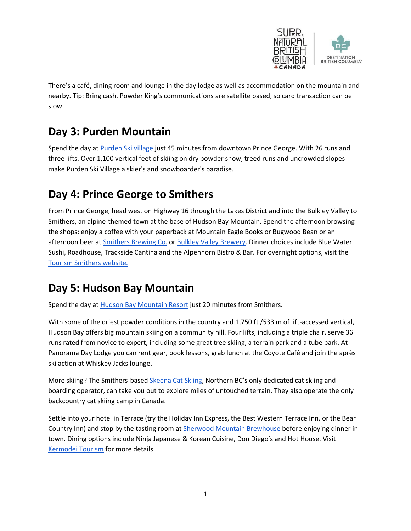

There's a café, dining room and lounge in the day lodge as well as accommodation on the mountain and nearby. Tip: Bring cash. Powder King's communications are satellite based, so card transaction can be slow.

## **Day 3: Purden Mountain**

Spend the day at [Purden Ski village](http://www.purden.com/snowreport.html) just 45 minutes from downtown Prince George. With 26 runs and three lifts. Over 1,100 vertical feet of skiing on dry powder snow, treed runs and uncrowded slopes make Purden Ski Village a skier's and snowboarder's paradise.

## **Day 4: Prince George to Smithers**

From Prince George, head west on Highway 16 through the Lakes District and into the Bulkley Valley to Smithers, an alpine-themed town at the base of Hudson Bay Mountain. Spend the afternoon browsing the shops: enjoy a coffee with your paperback at Mountain Eagle Books or Bugwood Bean or an afternoon beer at [Smithers Brewing Co.](https://smithersbrewing.com/) or [Bulkley Valley Brewery.](https://www.bulkleyvalleybrewery.com/) Dinner choices include Blue Water Sushi, Roadhouse, Trackside Cantina and the Alpenhorn Bistro & Bar. For overnight options, visit the [Tourism Smithers website.](https://tourismsmithers.com/places-to-sleep)

# **Day 5: Hudson Bay Mountain**

Spend the day at [Hudson Bay Mountain Resort](https://hudsonbaymountain.ca/mountain-report/) just 20 minutes from Smithers.

With some of the driest powder conditions in the country and 1,750 ft /533 m of lift-accessed vertical, Hudson Bay offers big mountain skiing on a community hill. Four lifts, including a triple chair, serve 36 runs rated from novice to expert, including some great tree skiing, a terrain park and a tube park. At Panorama Day Lodge you can rent gear, book lessons, grab lunch at the Coyote Café and join the après ski action at Whiskey Jacks lounge.

More skiing? The Smithers-based [Skeena Cat Skiing](http://www.skeenacatskiing.ca/), Northern BC's only dedicated cat skiing and boarding operator, can take you out to explore miles of untouched terrain. They also operate the only backcountry cat skiing camp in Canada.

Settle into your hotel in Terrace (try the Holiday Inn Express, the Best Western Terrace Inn, or the Bear Country Inn) and stop by the tasting room at [Sherwood Mountain Brewhouse](https://www.sherwoodmountain.beer/contact) before enjoying dinner in town. Dining options include Ninja Japanese & Korean Cuisine, Don Diego's and Hot House. Visit [Kermodei Tourism](https://www.visitterrace.com/) for more details.